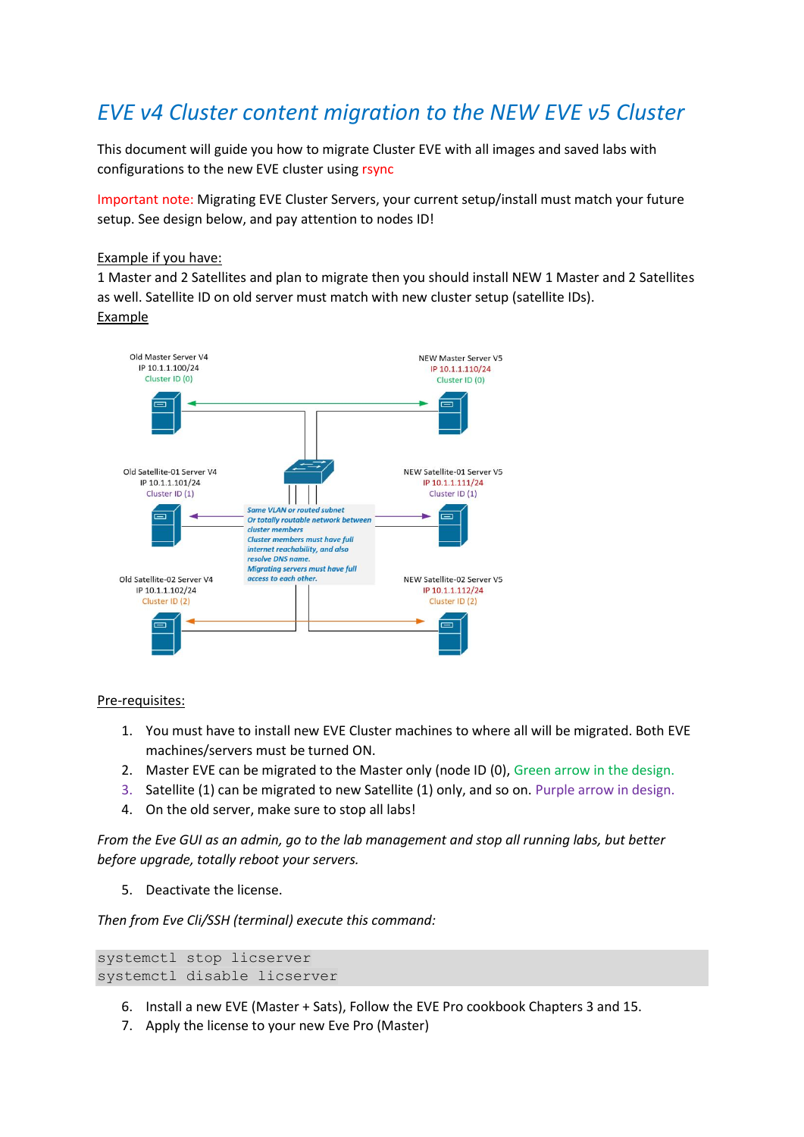# *EVE v4 Cluster content migration to the NEW EVE v5 Cluster*

This document will guide you how to migrate Cluster EVE with all images and saved labs with configurations to the new EVE cluster using rsync

Important note: Migrating EVE Cluster Servers, your current setup/install must match your future setup. See design below, and pay attention to nodes ID!

#### Example if you have:

1 Master and 2 Satellites and plan to migrate then you should install NEW 1 Master and 2 Satellites as well. Satellite ID on old server must match with new cluster setup (satellite IDs). **Example** 



Pre-requisites:

- 1. You must have to install new EVE Cluster machines to where all will be migrated. Both EVE machines/servers must be turned ON.
- 2. Master EVE can be migrated to the Master only (node ID (0), Green arrow in the design.
- 3. Satellite (1) can be migrated to new Satellite (1) only, and so on. Purple arrow in design.
- 4. On the old server, make sure to stop all labs!

*From the Eve GUI as an admin, go to the lab management and stop all running labs, but better before upgrade, totally reboot your servers.*

5. Deactivate the license.

*Then from Eve Cli/SSH (terminal) execute this command:*

```
systemctl stop licserver
systemctl disable licserver
```
- 6. Install a new EVE (Master + Sats), Follow the EVE Pro cookbook Chapters 3 and 15.
- 7. Apply the license to your new Eve Pro (Master)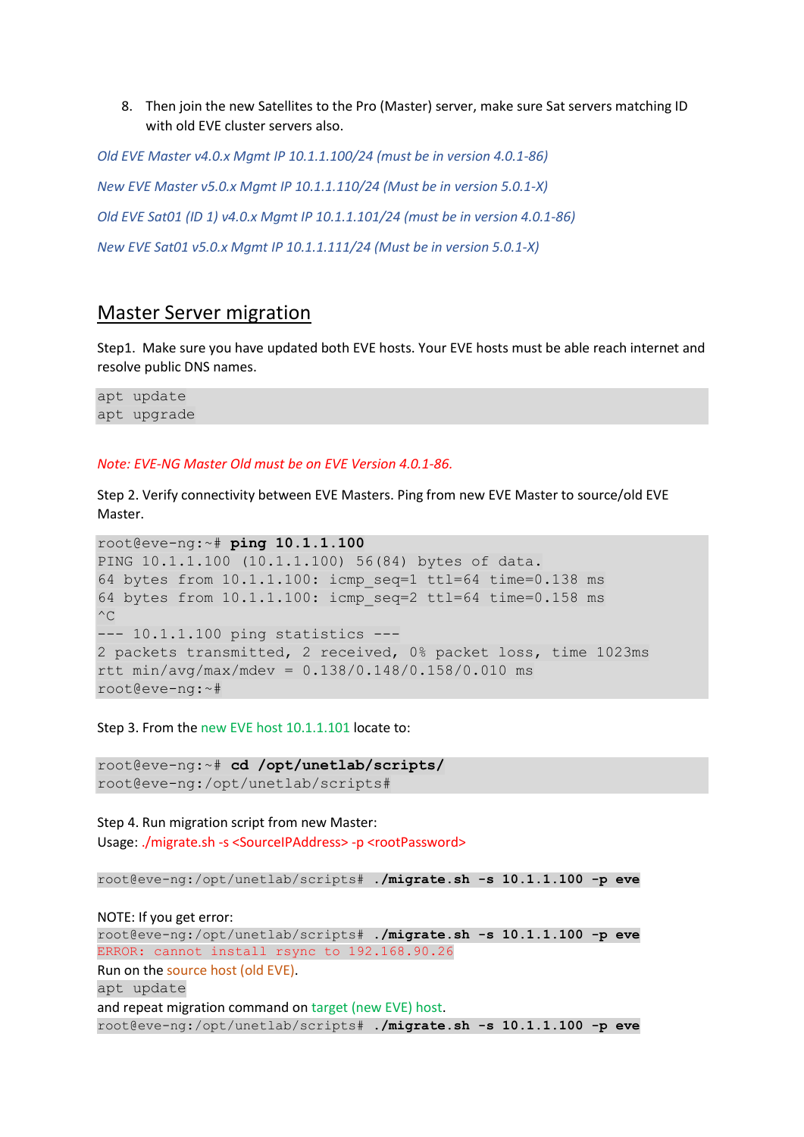8. Then join the new Satellites to the Pro (Master) server, make sure Sat servers matching ID with old EVE cluster servers also.

*Old EVE Master v4.0.x Mgmt IP 10.1.1.100/24 (must be in version 4.0.1-86) New EVE Master v5.0.x Mgmt IP 10.1.1.110/24 (Must be in version 5.0.1-X) Old EVE Sat01 (ID 1) v4.0.x Mgmt IP 10.1.1.101/24 (must be in version 4.0.1-86) New EVE Sat01 v5.0.x Mgmt IP 10.1.1.111/24 (Must be in version 5.0.1-X)*

### Master Server migration

Step1. Make sure you have updated both EVE hosts. Your EVE hosts must be able reach internet and resolve public DNS names.

apt update apt upgrade

#### *Note: EVE-NG Master Old must be on EVE Version 4.0.1-86.*

Step 2. Verify connectivity between EVE Masters. Ping from new EVE Master to source/old EVE Master.

```
root@eve-ng:~# ping 10.1.1.100
PING 10.1.1.100 (10.1.1.100) 56(84) bytes of data.
64 bytes from 10.1.1.100: icmp seq=1 ttl=64 time=0.138 ms
64 bytes from 10.1.1.100: icmp_seq=2 ttl=64 time=0.158 ms
\wedgeC
--- 10.1.1.100 ping statistics ---
2 packets transmitted, 2 received, 0% packet loss, time 1023ms
rtt min/avg/max/mdev = 0.138/0.148/0.158/0.010 ms
root@eve-ng:~#
```
Step 3. From the new EVE host 10.1.1.101 locate to:

root@eve-ng:~# **cd /opt/unetlab/scripts/** root@eve-ng:/opt/unetlab/scripts#

Step 4. Run migration script from new Master: Usage: ./migrate.sh -s <SourceIPAddress> -p <rootPassword>

```
root@eve-ng:/opt/unetlab/scripts# ./migrate.sh -s 10.1.1.100 -p eve
```
#### NOTE: If you get error:

root@eve-ng:/opt/unetlab/scripts# **./migrate.sh -s 10.1.1.100 -p eve** ERROR: cannot install rsync to 192.168.90.26 Run on the source host (old EVE). apt update and repeat migration command on target (new EVE) host. root@eve-ng:/opt/unetlab/scripts# **./migrate.sh -s 10.1.1.100 -p eve**